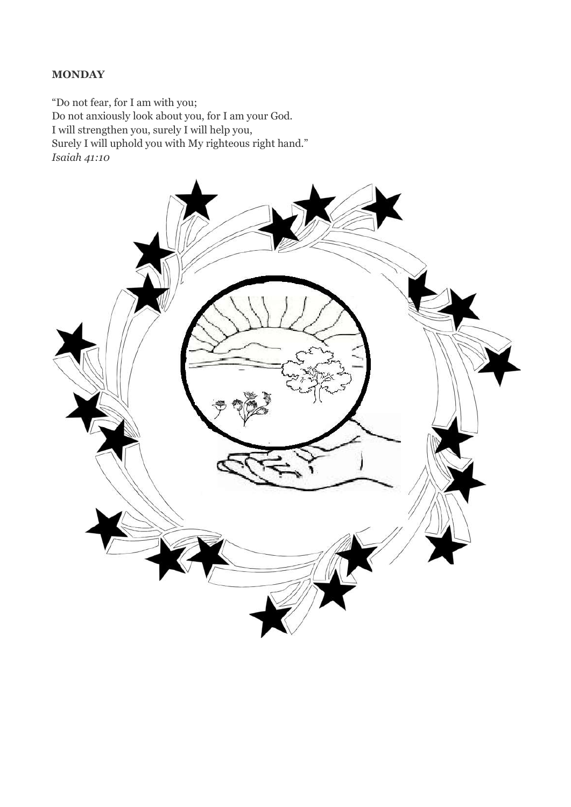#### **MONDAY**

"Do not fear, for I am with you; Do not anxiously look about you, for I am your God. I will strengthen you, surely I will help you, Surely I will uphold you with My righteous right hand." *Isaiah 41:10*

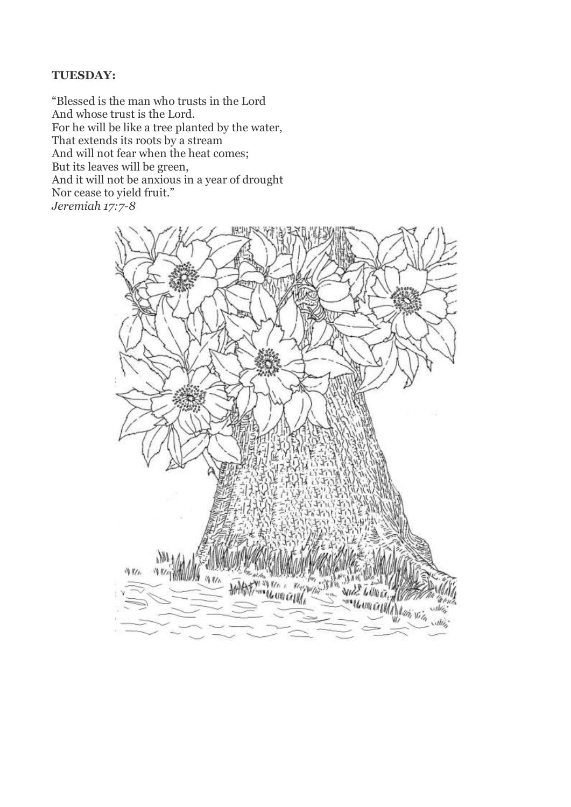## **TUESDAY:**

"Blessed is the man who trusts in the Lord And whose trust is the Lord. For he will be like a tree planted by the water, That extends its roots by a stream And will not fear when the heat comes; But its leaves will be green, And it will not be anxious in a year of drought Nor cease to yield fruit." *Jeremiah 17:7-8*

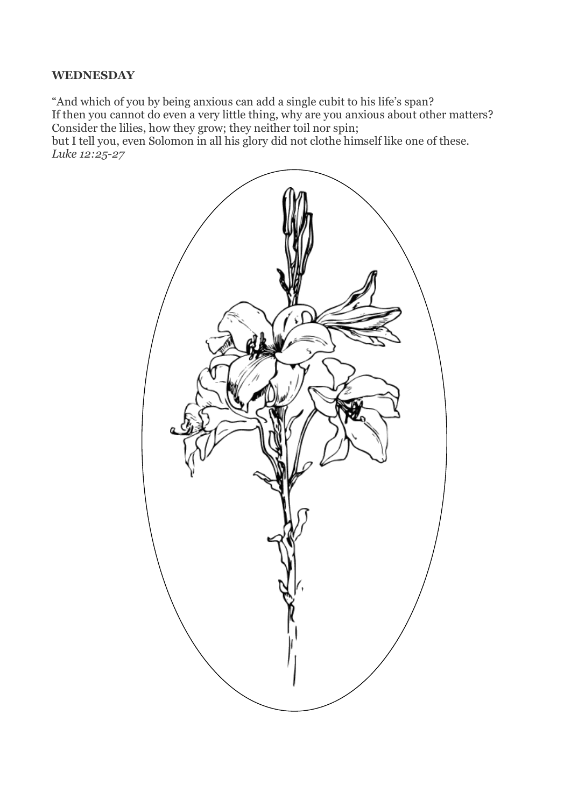## **WEDNESDAY**

"And which of you by being anxious can add a single cubit to his life's span? If then you cannot do even a very little thing, why are you anxious about other matters? Consider the lilies, how they grow; they neither toil nor spin; but I tell you, even Solomon in all his glory did not clothe himself like one of these. *Luke 12:25-27*

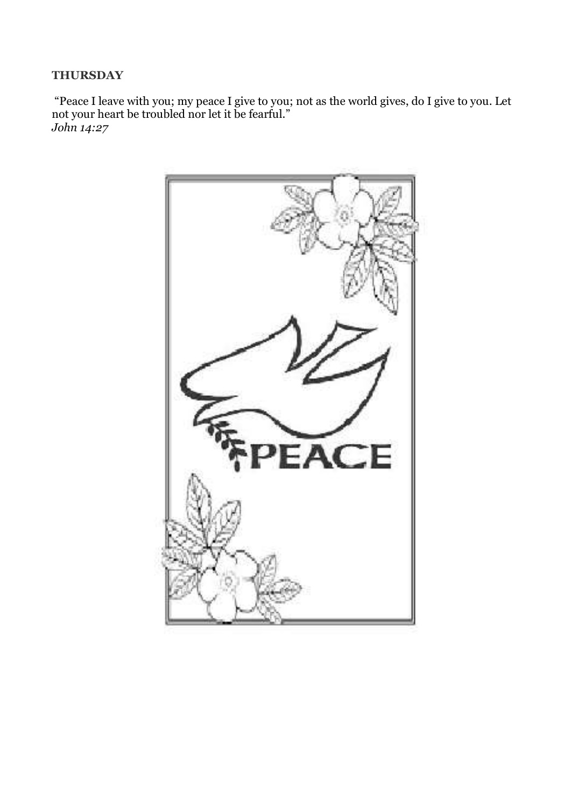## **THURSDAY**

"Peace I leave with you; my peace I give to you; not as the world gives, do I give to you. Let not your heart be troubled nor let it be fearful." *John 14:27*

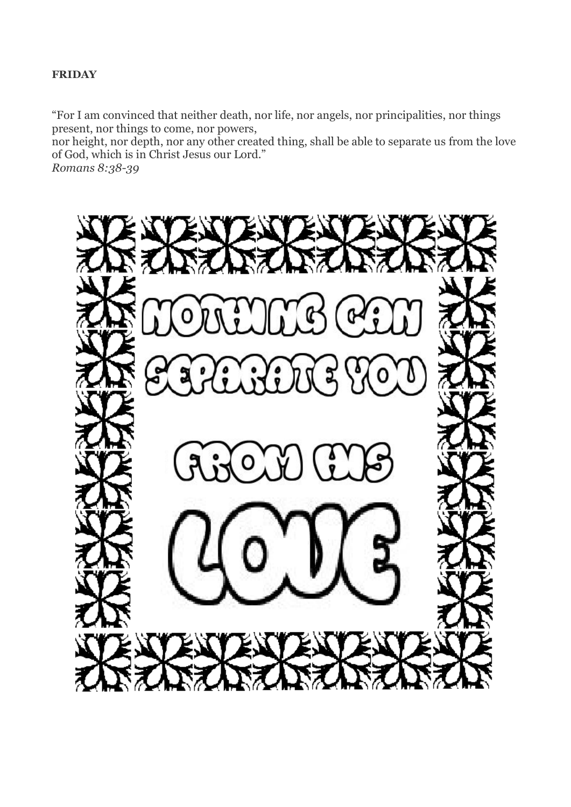#### **FRIDAY**

"For I am convinced that neither death, nor life, nor angels, nor principalities, nor things present, nor things to come, nor powers,

nor height, nor depth, nor any other created thing, shall be able to separate us from the love of God, which is in Christ Jesus our Lord."

*Romans 8:38-39*

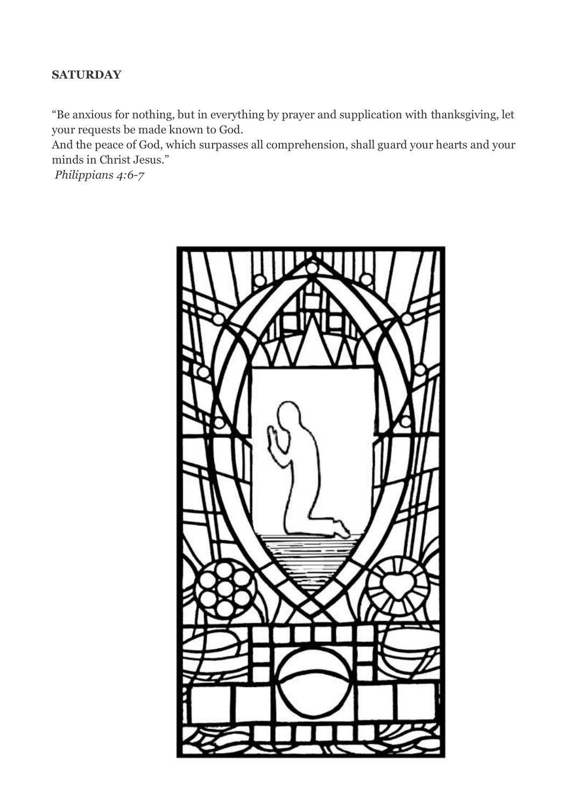# **SATURDAY**

"Be anxious for nothing, but in everything by prayer and supplication with thanksgiving, let your requests be made known to God.

And the peace of God, which surpasses all comprehension, shall guard your hearts and your minds in Christ Jesus."

*Philippians 4:6-7*